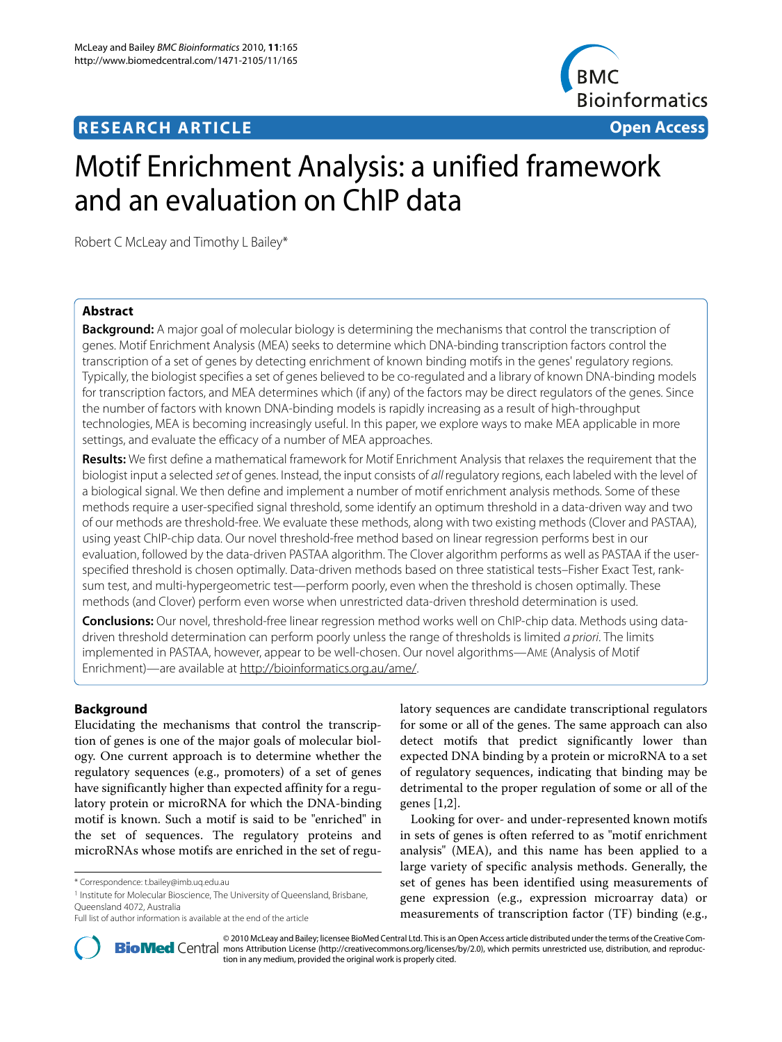# **RESEARCH ARTICLE Open Access**



# Motif Enrichment Analysis: a unified framework and an evaluation on ChIP data

Robert C McLeay and Timothy L Bailey\*

# **Abstract**

**Background:** A major goal of molecular biology is determining the mechanisms that control the transcription of genes. Motif Enrichment Analysis (MEA) seeks to determine which DNA-binding transcription factors control the transcription of a set of genes by detecting enrichment of known binding motifs in the genes' regulatory regions. Typically, the biologist specifies a set of genes believed to be co-regulated and a library of known DNA-binding models for transcription factors, and MEA determines which (if any) of the factors may be direct regulators of the genes. Since the number of factors with known DNA-binding models is rapidly increasing as a result of high-throughput technologies, MEA is becoming increasingly useful. In this paper, we explore ways to make MEA applicable in more settings, and evaluate the efficacy of a number of MEA approaches.

**Results:** We first define a mathematical framework for Motif Enrichment Analysis that relaxes the requirement that the biologist input a selected set of genes. Instead, the input consists of all regulatory regions, each labeled with the level of a biological signal. We then define and implement a number of motif enrichment analysis methods. Some of these methods require a user-specified signal threshold, some identify an optimum threshold in a data-driven way and two of our methods are threshold-free. We evaluate these methods, along with two existing methods (Clover and PASTAA), using yeast ChIP-chip data. Our novel threshold-free method based on linear regression performs best in our evaluation, followed by the data-driven PASTAA algorithm. The Clover algorithm performs as well as PASTAA if the userspecified threshold is chosen optimally. Data-driven methods based on three statistical tests–Fisher Exact Test, ranksum test, and multi-hypergeometric test—perform poorly, even when the threshold is chosen optimally. These methods (and Clover) perform even worse when unrestricted data-driven threshold determination is used.

**Conclusions:** Our novel, threshold-free linear regression method works well on ChIP-chip data. Methods using datadriven threshold determination can perform poorly unless the range of thresholds is limited *a priori*. The limits implemented in PASTAA, however, appear to be well-chosen. Our novel algorithms—AME (Analysis of Motif Enrichment)—are available at <http://bioinformatics.org.au/ame/>.

# **Background**

Elucidating the mechanisms that control the transcription of genes is one of the major goals of molecular biology. One current approach is to determine whether the regulatory sequences (e.g., promoters) of a set of genes have significantly higher than expected affinity for a regulatory protein or microRNA for which the DNA-binding motif is known. Such a motif is said to be "enriched" in the set of sequences. The regulatory proteins and microRNAs whose motifs are enriched in the set of regu-

<sup>1</sup> Institute for Molecular Bioscience, The University of Queensland, Brisbane, Queensland 4072, Australia

latory sequences are candidate transcriptional regulators for some or all of the genes. The same approach can also detect motifs that predict significantly lower than expected DNA binding by a protein or microRNA to a set of regulatory sequences, indicating that binding may be detrimental to the proper regulation of some or all of the genes [\[1](#page-10-0)[,2](#page-10-1)].

Looking for over- and under-represented known motifs in sets of genes is often referred to as "motif enrichment analysis" (MEA), and this name has been applied to a large variety of specific analysis methods. Generally, the set of genes has been identified using measurements of gene expression (e.g., expression microarray data) or measurements of transcription factor (TF) binding (e.g.,



© 2010 McLeay and Bailey; licensee [BioMed](http://www.biomedcentral.com/) Central Ltd. This is an Open Access article distributed under the terms of the Creative Com-<br>-Bio Med Central mons Attribution License (http://creativecommons.org/licenses/by/2.0), tion in any medium, provided the original work is properly cited.

<sup>\*</sup> Correspondence: t.bailey@imb.uq.edu.au

Full list of author information is available at the end of the article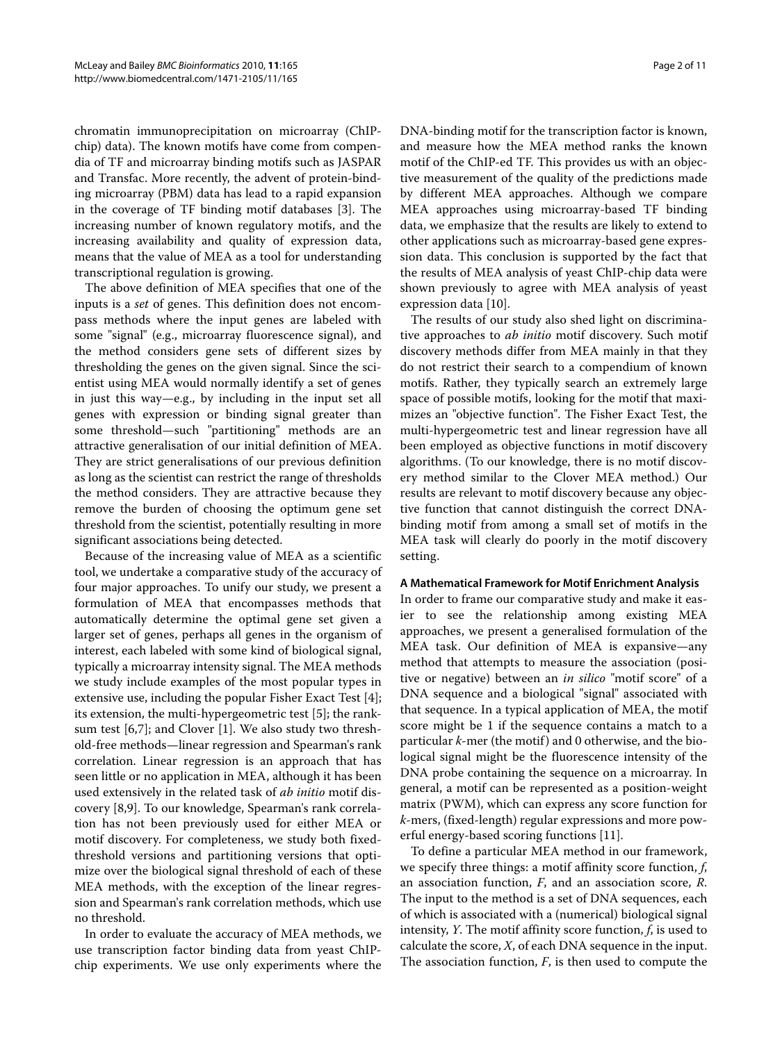chromatin immunoprecipitation on microarray (ChIPchip) data). The known motifs have come from compendia of TF and microarray binding motifs such as JASPAR and Transfac. More recently, the advent of protein-binding microarray (PBM) data has lead to a rapid expansion in the coverage of TF binding motif databases [\[3\]](#page-10-2). The increasing number of known regulatory motifs, and the increasing availability and quality of expression data, means that the value of MEA as a tool for understanding transcriptional regulation is growing.

The above definition of MEA specifies that one of the inputs is a *set* of genes. This definition does not encompass methods where the input genes are labeled with some "signal" (e.g., microarray fluorescence signal), and the method considers gene sets of different sizes by thresholding the genes on the given signal. Since the scientist using MEA would normally identify a set of genes in just this way—e.g., by including in the input set all genes with expression or binding signal greater than some threshold—such "partitioning" methods are an attractive generalisation of our initial definition of MEA. They are strict generalisations of our previous definition as long as the scientist can restrict the range of thresholds the method considers. They are attractive because they remove the burden of choosing the optimum gene set threshold from the scientist, potentially resulting in more significant associations being detected.

Because of the increasing value of MEA as a scientific tool, we undertake a comparative study of the accuracy of four major approaches. To unify our study, we present a formulation of MEA that encompasses methods that automatically determine the optimal gene set given a larger set of genes, perhaps all genes in the organism of interest, each labeled with some kind of biological signal, typically a microarray intensity signal. The MEA methods we study include examples of the most popular types in extensive use, including the popular Fisher Exact Test [\[4](#page-10-3)]; its extension, the multi-hypergeometric test [[5\]](#page-10-4); the ranksum test [[6,](#page-10-5)[7\]](#page-10-6); and Clover [\[1](#page-10-0)]. We also study two threshold-free methods—linear regression and Spearman's rank correlation. Linear regression is an approach that has seen little or no application in MEA, although it has been used extensively in the related task of *ab initio* motif discovery [\[8](#page-10-7),[9\]](#page-10-8). To our knowledge, Spearman's rank correlation has not been previously used for either MEA or motif discovery. For completeness, we study both fixedthreshold versions and partitioning versions that optimize over the biological signal threshold of each of these MEA methods, with the exception of the linear regression and Spearman's rank correlation methods, which use no threshold.

In order to evaluate the accuracy of MEA methods, we use transcription factor binding data from yeast ChIPchip experiments. We use only experiments where the

DNA-binding motif for the transcription factor is known, and measure how the MEA method ranks the known motif of the ChIP-ed TF. This provides us with an objective measurement of the quality of the predictions made by different MEA approaches. Although we compare MEA approaches using microarray-based TF binding data, we emphasize that the results are likely to extend to other applications such as microarray-based gene expression data. This conclusion is supported by the fact that the results of MEA analysis of yeast ChIP-chip data were shown previously to agree with MEA analysis of yeast expression data [\[10](#page-10-9)].

The results of our study also shed light on discriminative approaches to *ab initio* motif discovery. Such motif discovery methods differ from MEA mainly in that they do not restrict their search to a compendium of known motifs. Rather, they typically search an extremely large space of possible motifs, looking for the motif that maximizes an "objective function". The Fisher Exact Test, the multi-hypergeometric test and linear regression have all been employed as objective functions in motif discovery algorithms. (To our knowledge, there is no motif discovery method similar to the Clover MEA method.) Our results are relevant to motif discovery because any objective function that cannot distinguish the correct DNAbinding motif from among a small set of motifs in the MEA task will clearly do poorly in the motif discovery setting.

# **A Mathematical Framework for Motif Enrichment Analysis**

In order to frame our comparative study and make it easier to see the relationship among existing MEA approaches, we present a generalised formulation of the MEA task. Our definition of MEA is expansive—any method that attempts to measure the association (positive or negative) between an *in silico* "motif score" of a DNA sequence and a biological "signal" associated with that sequence. In a typical application of MEA, the motif score might be 1 if the sequence contains a match to a particular *k*-mer (the motif) and 0 otherwise, and the biological signal might be the fluorescence intensity of the DNA probe containing the sequence on a microarray. In general, a motif can be represented as a position-weight matrix (PWM), which can express any score function for *k*-mers, (fixed-length) regular expressions and more powerful energy-based scoring functions [[11](#page-10-10)].

To define a particular MEA method in our framework, we specify three things: a motif affinity score function, *f*, an association function, *F*, and an association score, *R*. The input to the method is a set of DNA sequences, each of which is associated with a (numerical) biological signal intensity, *Y*. The motif affinity score function, *f*, is used to calculate the score, *X*, of each DNA sequence in the input. The association function, *F*, is then used to compute the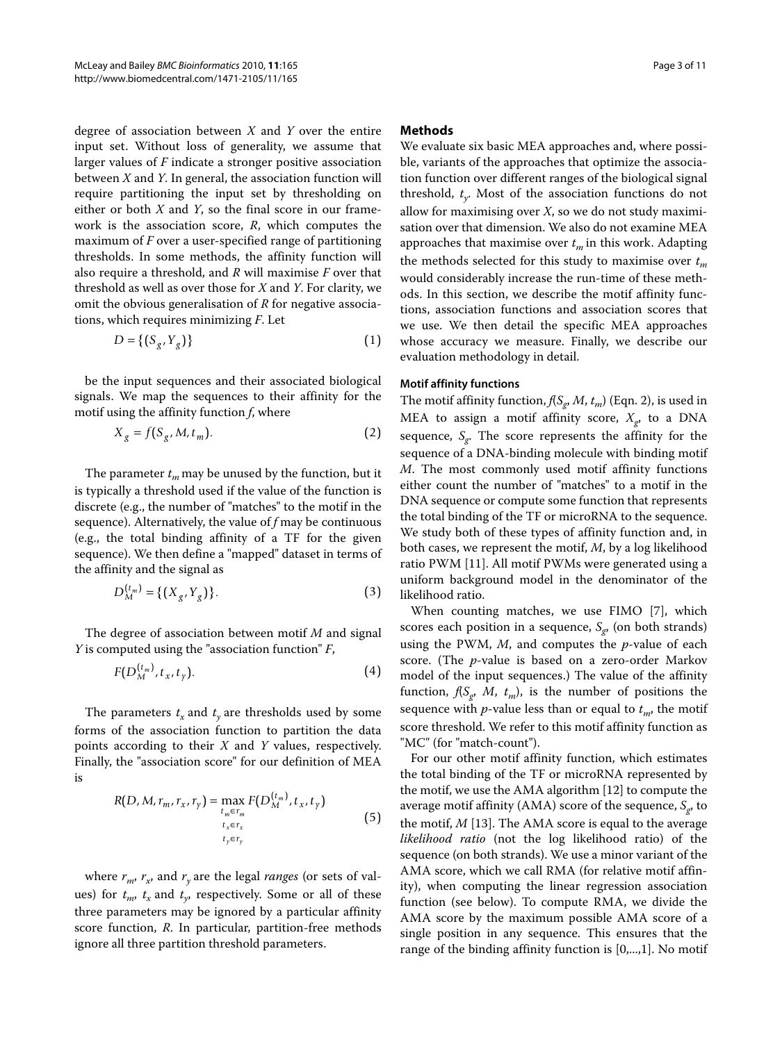degree of association between *X* and *Y* over the entire input set. Without loss of generality, we assume that larger values of *F* indicate a stronger positive association between *X* and *Y*. In general, the association function will require partitioning the input set by thresholding on either or both *X* and *Y*, so the final score in our framework is the association score, *R*, which computes the maximum of *F* over a user-specified range of partitioning thresholds. In some methods, the affinity function will also require a threshold, and *R* will maximise *F* over that threshold as well as over those for *X* and *Y*. For clarity, we omit the obvious generalisation of *R* for negative associations, which requires minimizing *F*. Let

$$
D = \{ (S_g, Y_g) \} \tag{1}
$$

be the input sequences and their associated biological signals. We map the sequences to their affinity for the motif using the affinity function *f*, where

$$
X_g = f(S_g, M, t_m). \tag{2}
$$

The parameter  $t_m$  may be unused by the function, but it is typically a threshold used if the value of the function is discrete (e.g., the number of "matches" to the motif in the sequence). Alternatively, the value of *f* may be continuous (e.g., the total binding affinity of a TF for the given sequence). We then define a "mapped" dataset in terms of the affinity and the signal as

$$
D_M^{(t_m)} = \{(X_g, Y_g)\}.
$$
 (3)

The degree of association between motif *M* and signal *Y* is computed using the "association function" *F*,

$$
F(D_M^{(t_m)}, t_x, t_y). \tag{4}
$$

The parameters  $t_x$  and  $t_y$  are thresholds used by some forms of the association function to partition the data points according to their *X* and *Y* values, respectively. Finally, the "association score" for our definition of MEA is

$$
R(D, M, r_m, r_x, r_y) = \max_{\substack{t_m \in r_m \\ t_x \in r_x \\ t_y \in r_y}} F(D_M^{(t_m)}, t_x, t_y)
$$
\n
$$
(5)
$$

where  $r_m$ ,  $r_x$ , and  $r_y$  are the legal *ranges* (or sets of values) for  $t_m$ ,  $t_x$  and  $t_y$ , respectively. Some or all of these three parameters may be ignored by a particular affinity score function, *R*. In particular, partition-free methods ignore all three partition threshold parameters.

# **Methods**

We evaluate six basic MEA approaches and, where possible, variants of the approaches that optimize the association function over different ranges of the biological signal threshold, *ty*. Most of the association functions do not allow for maximising over *X*, so we do not study maximisation over that dimension. We also do not examine MEA approaches that maximise over  $t_m$  in this work. Adapting the methods selected for this study to maximise over  $t_m$ would considerably increase the run-time of these methods. In this section, we describe the motif affinity functions, association functions and association scores that we use. We then detail the specific MEA approaches whose accuracy we measure. Finally, we describe our evaluation methodology in detail.

# **Motif affinity functions**

The motif affinity function,  $f(S_{\sigma}, M, t_m)$  (Eqn. 2), is used in MEA to assign a motif affinity score,  $X_{g}$ , to a DNA sequence,  $S_g$ . The score represents the affinity for the sequence of a DNA-binding molecule with binding motif *M*. The most commonly used motif affinity functions either count the number of "matches" to a motif in the DNA sequence or compute some function that represents the total binding of the TF or microRNA to the sequence. We study both of these types of affinity function and, in both cases, we represent the motif, *M*, by a log likelihood ratio PWM [[11\]](#page-10-10). All motif PWMs were generated using a uniform background model in the denominator of the likelihood ratio.

When counting matches, we use FIMO [[7\]](#page-10-6), which scores each position in a sequence,  $S_{\varrho}$ , (on both strands) using the PWM, *M*, and computes the *p*-value of each score. (The *p*-value is based on a zero-order Markov model of the input sequences.) The value of the affinity function,  $f(S_g, M, t_m)$ , is the number of positions the sequence with  $p$ -value less than or equal to  $t_m$ , the motif score threshold. We refer to this motif affinity function as "MC" (for "match-count").

For our other motif affinity function, which estimates the total binding of the TF or microRNA represented by the motif, we use the AMA algorithm [[12\]](#page-10-11) to compute the average motif affinity (AMA) score of the sequence,  $S_{\varrho}$ , to the motif, *M* [[13\]](#page-10-12). The AMA score is equal to the average *likelihood ratio* (not the log likelihood ratio) of the sequence (on both strands). We use a minor variant of the AMA score, which we call RMA (for relative motif affinity), when computing the linear regression association function (see below). To compute RMA, we divide the AMA score by the maximum possible AMA score of a single position in any sequence. This ensures that the range of the binding affinity function is [0,...,1]. No motif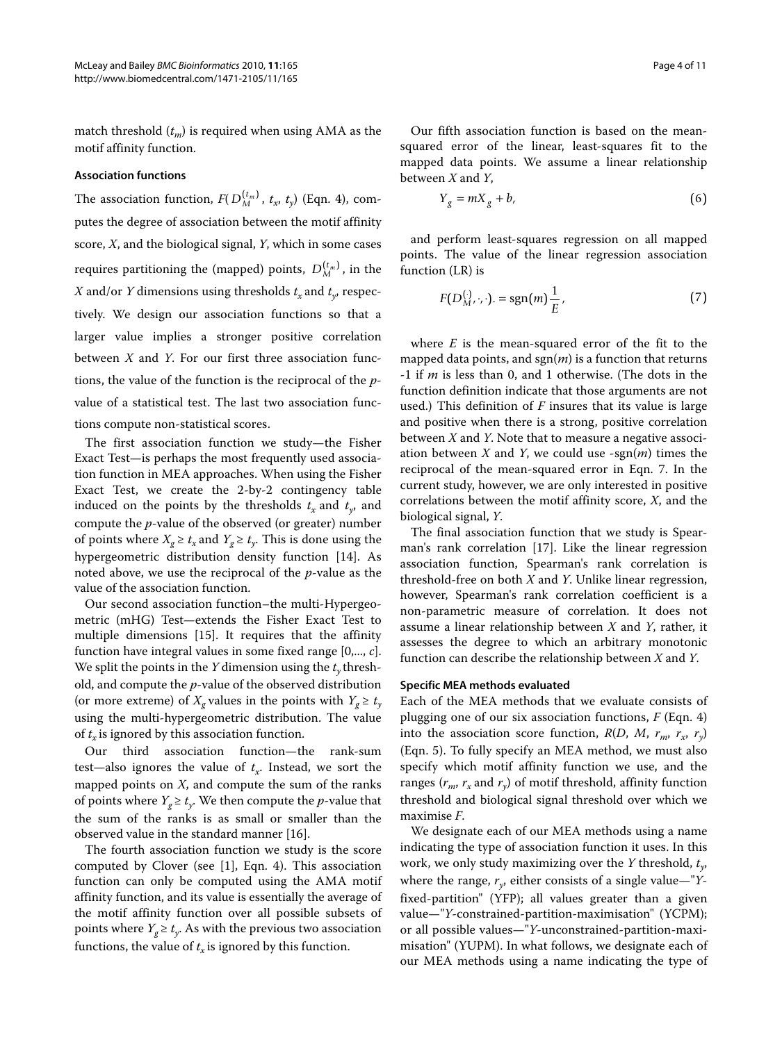match threshold  $(t_m)$  is required when using AMA as the motif affinity function.

# **Association functions**

The association function,  $F(D_M^{(t_m)}$ ,  $t_x$ ,  $t_y$ ) (Eqn. 4), computes the degree of association between the motif affinity score, *X*, and the biological signal, *Y*, which in some cases requires partitioning the (mapped) points,  $\,D^{(t_m)}_M$  , in the *X* and/or *Y* dimensions using thresholds  $t_x$  and  $t_y$ , respectively. We design our association functions so that a larger value implies a stronger positive correlation between *X* and *Y*. For our first three association functions, the value of the function is the reciprocal of the *p*value of a statistical test. The last two association functions compute non-statistical scores.

The first association function we study—the Fisher Exact Test—is perhaps the most frequently used association function in MEA approaches. When using the Fisher Exact Test, we create the 2-by-2 contingency table induced on the points by the thresholds  $t_x$  and  $t_y$ , and compute the *p*-value of the observed (or greater) number of points where  $X_{\varphi} \geq t_x$  and  $Y_{\varphi} \geq t_y$ . This is done using the hypergeometric distribution density function [[14\]](#page-10-13). As noted above, we use the reciprocal of the *p*-value as the value of the association function.

Our second association function–the multi-Hypergeometric (mHG) Test—extends the Fisher Exact Test to multiple dimensions [\[15](#page-10-14)]. It requires that the affinity function have integral values in some fixed range [0,..., *c*]. We split the points in the *Y* dimension using the *t<sub>y</sub>* threshold, and compute the *p*-value of the observed distribution (or more extreme) of  $X_g$  values in the points with  $Y_g \ge t_y$ using the multi-hypergeometric distribution. The value of  $t_{\star}$  is ignored by this association function.

Our third association function—the rank-sum test—also ignores the value of  $t<sub>x</sub>$ . Instead, we sort the mapped points on *X*, and compute the sum of the ranks of points where  $Y_g \geq t_y$ . We then compute the *p*-value that the sum of the ranks is as small or smaller than the observed value in the standard manner [[16\]](#page-10-15).

The fourth association function we study is the score computed by Clover (see [[1\]](#page-10-0), Eqn. 4). This association function can only be computed using the AMA motif affinity function, and its value is essentially the average of the motif affinity function over all possible subsets of points where  $Y_g \geq t_v$ . As with the previous two association functions, the value of  $t_r$  is ignored by this function.

Our fifth association function is based on the meansquared error of the linear, least-squares fit to the mapped data points. We assume a linear relationship between *X* and *Y*,

$$
Y_g = mX_g + b,\tag{6}
$$

and perform least-squares regression on all mapped points. The value of the linear regression association function (LR) is

$$
F(D_{M}^{(\cdot)}, \cdot) = \text{sgn}(m) \frac{1}{E},
$$
 (7)

where *E* is the mean-squared error of the fit to the mapped data points, and sgn(*m*) is a function that returns -1 if *m* is less than 0, and 1 otherwise. (The dots in the function definition indicate that those arguments are not used.) This definition of *F* insures that its value is large and positive when there is a strong, positive correlation between *X* and *Y*. Note that to measure a negative association between *X* and *Y*, we could use  $\text{-sgn}(m)$  times the reciprocal of the mean-squared error in Eqn. 7. In the current study, however, we are only interested in positive correlations between the motif affinity score, *X*, and the biological signal, *Y*.

The final association function that we study is Spearman's rank correlation [[17](#page-10-16)]. Like the linear regression association function, Spearman's rank correlation is threshold-free on both *X* and *Y*. Unlike linear regression, however, Spearman's rank correlation coefficient is a non-parametric measure of correlation. It does not assume a linear relationship between *X* and *Y*, rather, it assesses the degree to which an arbitrary monotonic function can describe the relationship between *X* and *Y*.

#### **Specific MEA methods evaluated**

Each of the MEA methods that we evaluate consists of plugging one of our six association functions, *F* (Eqn. 4) into the association score function,  $R(D, M, r_m, r_x, r_y)$ (Eqn. 5). To fully specify an MEA method, we must also specify which motif affinity function we use, and the ranges  $(r_m, r_x, r_y)$  of motif threshold, affinity function threshold and biological signal threshold over which we maximise *F*.

We designate each of our MEA methods using a name indicating the type of association function it uses. In this work, we only study maximizing over the *Y* threshold,  $t_{\nu}$ , where the range,  $r_{\nu}$ , either consists of a single value—"*Y*fixed-partition" (YFP); all values greater than a given value—"*Y*-constrained-partition-maximisation" (YCPM); or all possible values—"*Y*-unconstrained-partition-maximisation" (YUPM). In what follows, we designate each of our MEA methods using a name indicating the type of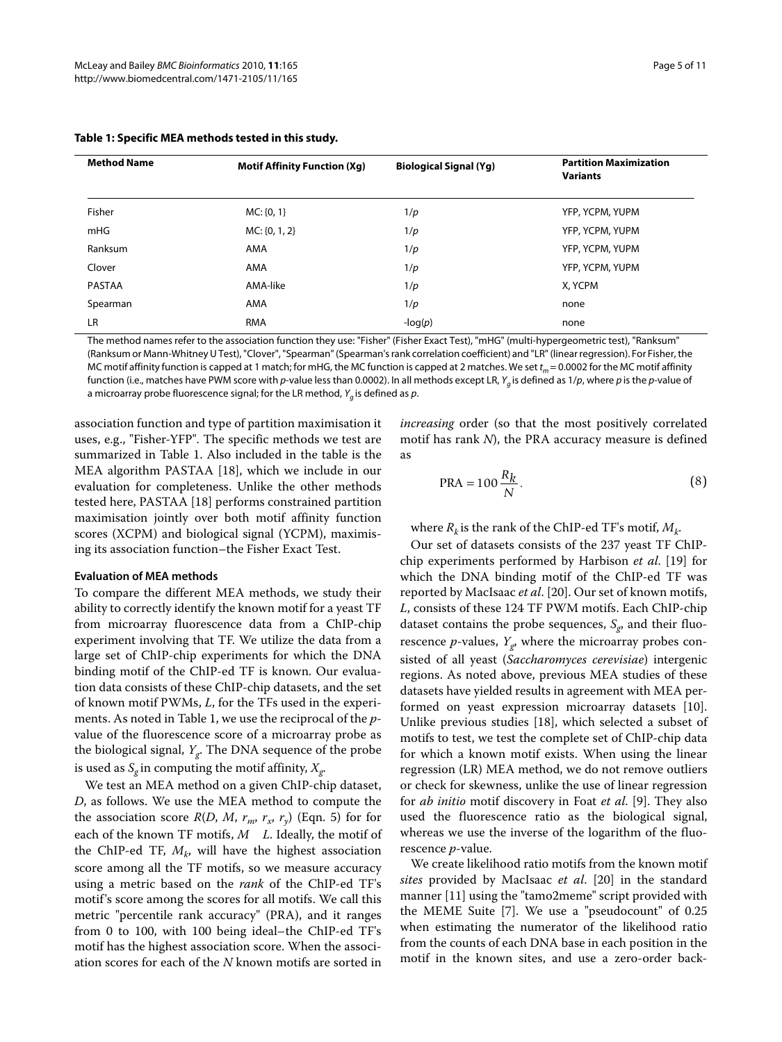| <b>Method Name</b> | <b>Motif Affinity Function (Xg)</b> | <b>Biological Signal (Yg)</b> | <b>Partition Maximization</b><br><b>Variants</b> |
|--------------------|-------------------------------------|-------------------------------|--------------------------------------------------|
| Fisher             | $MC: {0, 1}$                        | 1/p                           | YFP, YCPM, YUPM                                  |
| mHG                | $MC: \{0, 1, 2\}$                   | 1/p                           | YFP, YCPM, YUPM                                  |
| Ranksum            | AMA                                 | 1/p                           | YFP, YCPM, YUPM                                  |
| Clover             | AMA                                 | 1/p                           | YFP, YCPM, YUPM                                  |
| <b>PASTAA</b>      | AMA-like                            | 1/p                           | X, YCPM                                          |
| Spearman           | AMA                                 | 1/p                           | none                                             |
| LR                 | <b>RMA</b>                          | $-log(p)$                     | none                                             |

#### **Table 1: Specific MEA methods tested in this study.**

The method names refer to the association function they use: "Fisher" (Fisher Exact Test), "mHG" (multi-hypergeometric test), "Ranksum" (Ranksum or Mann-Whitney U Test), "Clover", "Spearman" (Spearman's rank correlation coefficient) and "LR" (linear regression). For Fisher, the MC motif affinity function is capped at 1 match; for mHG, the MC function is capped at 2 matches. We set  $t_m = 0.0002$  for the MC motif affinity function (i.e., matches have PWM score with p-value less than 0.0002). In all methods except LR,  $Y_q$  is defined as 1/p, where p is the p-value of a microarray probe fluorescence signal; for the LR method,  $Y_a$  is defined as  $p$ .

association function and type of partition maximisation it uses, e.g., "Fisher-YFP". The specific methods we test are summarized in Table 1. Also included in the table is the MEA algorithm PASTAA [\[18](#page-10-17)], which we include in our evaluation for completeness. Unlike the other methods tested here, PASTAA [[18\]](#page-10-17) performs constrained partition maximisation jointly over both motif affinity function scores (XCPM) and biological signal (YCPM), maximising its association function–the Fisher Exact Test.

#### **Evaluation of MEA methods**

To compare the different MEA methods, we study their ability to correctly identify the known motif for a yeast TF from microarray fluorescence data from a ChIP-chip experiment involving that TF. We utilize the data from a large set of ChIP-chip experiments for which the DNA binding motif of the ChIP-ed TF is known. Our evaluation data consists of these ChIP-chip datasets, and the set of known motif PWMs, *L*, for the TFs used in the experiments. As noted in Table 1, we use the reciprocal of the *p*value of the fluorescence score of a microarray probe as the biological signal,  $Y_g$ . The DNA sequence of the probe is used as  $S_g$  in computing the motif affinity,  $X_g$ .

We test an MEA method on a given ChIP-chip dataset, *D*, as follows. We use the MEA method to compute the the association score  $R(D, M, r_m, r_x, r_y)$  (Eqn. 5) for for each of the known TF motifs, *M L*. Ideally, the motif of the ChIP-ed TF,  $M_k$ , will have the highest association score among all the TF motifs, so we measure accuracy using a metric based on the *rank* of the ChIP-ed TF's motif's score among the scores for all motifs. We call this metric "percentile rank accuracy" (PRA), and it ranges from 0 to 100, with 100 being ideal–the ChIP-ed TF's motif has the highest association score. When the association scores for each of the *N* known motifs are sorted in

*increasing* order (so that the most positively correlated motif has rank *N*), the PRA accuracy measure is defined as

$$
PRA = 100 \frac{R_k}{N}.
$$
 (8)

where  $R_k$  is the rank of the ChIP-ed TF's motif,  $M_k$ .

Our set of datasets consists of the 237 yeast TF ChIPchip experiments performed by Harbison *et al*. [\[19\]](#page-10-18) for which the DNA binding motif of the ChIP-ed TF was reported by MacIsaac *et al*. [[20](#page-10-19)]. Our set of known motifs, *L*, consists of these 124 TF PWM motifs. Each ChIP-chip dataset contains the probe sequences,  $S_{g}$ , and their fluorescence  $p$ -values,  $Y_p$ , where the microarray probes consisted of all yeast (*Saccharomyces cerevisiae*) intergenic regions. As noted above, previous MEA studies of these datasets have yielded results in agreement with MEA performed on yeast expression microarray datasets [\[10](#page-10-9)]. Unlike previous studies [\[18](#page-10-17)], which selected a subset of motifs to test, we test the complete set of ChIP-chip data for which a known motif exists. When using the linear regression (LR) MEA method, we do not remove outliers or check for skewness, unlike the use of linear regression for *ab initio* motif discovery in Foat *et al*. [[9\]](#page-10-8). They also used the fluorescence ratio as the biological signal, whereas we use the inverse of the logarithm of the fluorescence *p*-value.

We create likelihood ratio motifs from the known motif *sites* provided by MacIsaac *et al*. [[20\]](#page-10-19) in the standard manner [[11\]](#page-10-10) using the "tamo2meme" script provided with the MEME Suite [[7\]](#page-10-6). We use a "pseudocount" of 0.25 when estimating the numerator of the likelihood ratio from the counts of each DNA base in each position in the motif in the known sites, and use a zero-order back-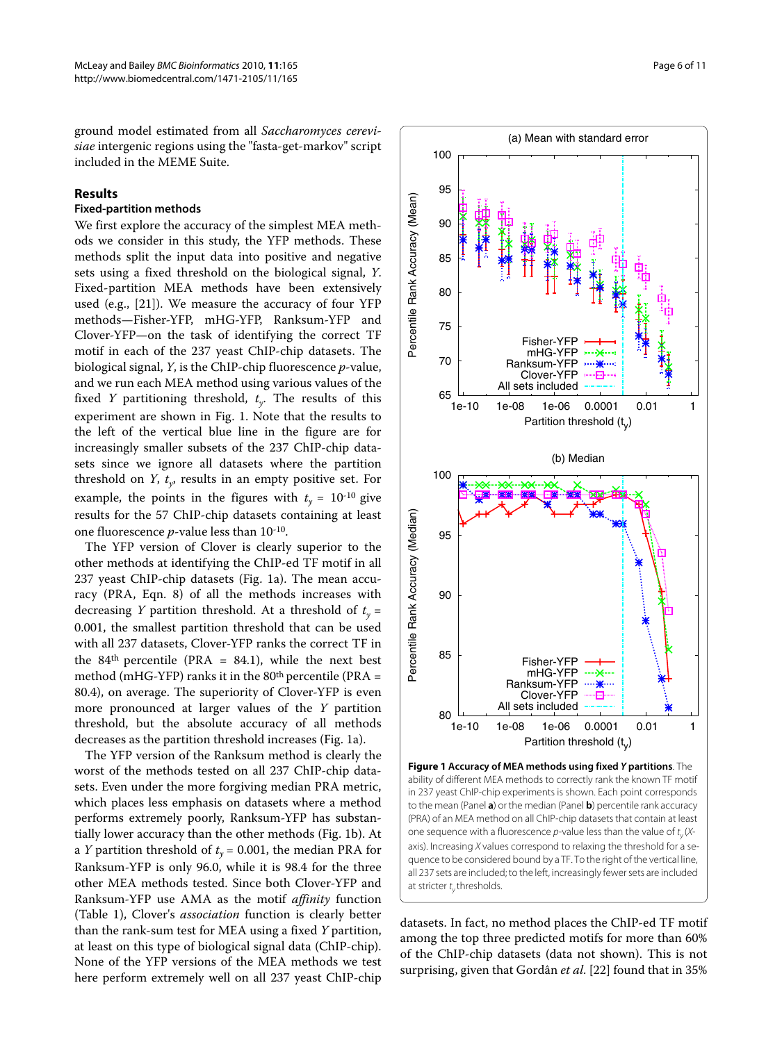ground model estimated from all *Saccharomyces cerevisiae* intergenic regions using the "fasta-get-markov" script included in the MEME Suite.

### **Results**

# **Fixed-partition methods**

We first explore the accuracy of the simplest MEA methods we consider in this study, the YFP methods. These methods split the input data into positive and negative sets using a fixed threshold on the biological signal, *Y*. Fixed-partition MEA methods have been extensively used (e.g., [[21\]](#page-10-20)). We measure the accuracy of four YFP methods—Fisher-YFP, mHG-YFP, Ranksum-YFP and Clover-YFP—on the task of identifying the correct TF motif in each of the 237 yeast ChIP-chip datasets. The biological signal, *Y*, is the ChIP-chip fluorescence *p*-value, and we run each MEA method using various values of the fixed *Y* partitioning threshold,  $t_v$ . The results of this experiment are shown in Fig. [1.](#page-5-0) Note that the results to the left of the vertical blue line in the figure are for increasingly smaller subsets of the 237 ChIP-chip datasets since we ignore all datasets where the partition threshold on *Y*,  $t_v$ , results in an empty positive set. For example, the points in the figures with  $t_v = 10^{-10}$  give results for the 57 ChIP-chip datasets containing at least one fluorescence *p*-value less than 10-10.

The YFP version of Clover is clearly superior to the other methods at identifying the ChIP-ed TF motif in all 237 yeast ChIP-chip datasets (Fig. [1a](#page-5-0)). The mean accuracy (PRA, Eqn. 8) of all the methods increases with decreasing *Y* partition threshold. At a threshold of  $t_y =$ 0.001, the smallest partition threshold that can be used with all 237 datasets, Clover-YFP ranks the correct TF in the 84<sup>th</sup> percentile (PRA = 84.1), while the next best method (mHG-YFP) ranks it in the  $80<sup>th</sup>$  percentile (PRA = 80.4), on average. The superiority of Clover-YFP is even more pronounced at larger values of the *Y* partition threshold, but the absolute accuracy of all methods decreases as the partition threshold increases (Fig. [1a](#page-5-0)).

The YFP version of the Ranksum method is clearly the worst of the methods tested on all 237 ChIP-chip datasets. Even under the more forgiving median PRA metric, which places less emphasis on datasets where a method performs extremely poorly, Ranksum-YFP has substantially lower accuracy than the other methods (Fig. [1b](#page-5-0)). At a *Y* partition threshold of  $t<sub>v</sub> = 0.001$ , the median PRA for Ranksum-YFP is only 96.0, while it is 98.4 for the three other MEA methods tested. Since both Clover-YFP and Ranksum-YFP use AMA as the motif *affinity* function (Table 1), Clover's *association* function is clearly better than the rank-sum test for MEA using a fixed *Y* partition, at least on this type of biological signal data (ChIP-chip). None of the YFP versions of the MEA methods we test here perform extremely well on all 237 yeast ChIP-chip

<span id="page-5-0"></span>

**Figure 1 Accuracy of MEA methods using fixed Y partitions**. The ability of different MEA methods to correctly rank the known TF motif in 237 yeast ChIP-chip experiments is shown. Each point corresponds to the mean (Panel **a**) or the median (Panel **b**) percentile rank accuracy (PRA) of an MEA method on all ChIP-chip datasets that contain at least one sequence with a fluorescence p-value less than the value of  $t_v$  (Xaxis). Increasing X values correspond to relaxing the threshold for a sequence to be considered bound by a TF. To the right of the vertical line, all 237 sets are included; to the left, increasingly fewer sets are included at stricter  $t_v$  thresholds.

datasets. In fact, no method places the ChIP-ed TF motif among the top three predicted motifs for more than 60% of the ChIP-chip datasets (data not shown). This is not surprising, given that Gordân *et al*. [[22\]](#page-10-21) found that in 35%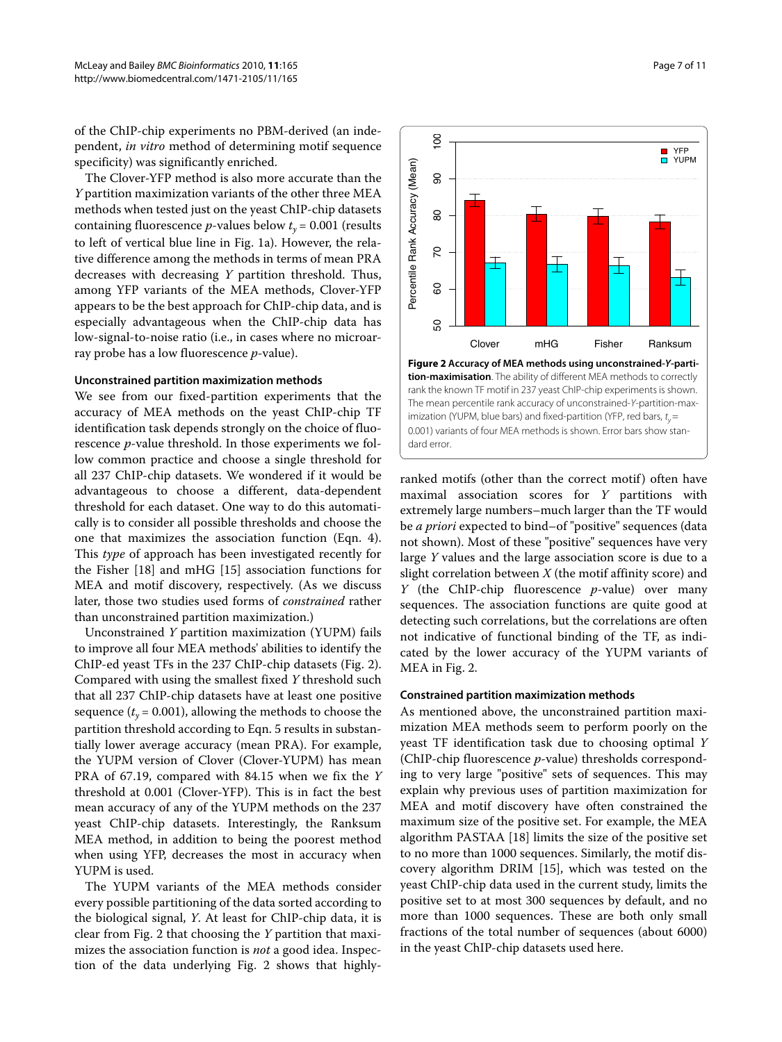of the ChIP-chip experiments no PBM-derived (an independent, *in vitro* method of determining motif sequence specificity) was significantly enriched.

The Clover-YFP method is also more accurate than the *Y* partition maximization variants of the other three MEA methods when tested just on the yeast ChIP-chip datasets containing fluorescence  $p$ -values below  $t_v = 0.001$  (results to left of vertical blue line in Fig. [1](#page-5-0)a). However, the relative difference among the methods in terms of mean PRA decreases with decreasing *Y* partition threshold. Thus, among YFP variants of the MEA methods, Clover-YFP appears to be the best approach for ChIP-chip data, and is especially advantageous when the ChIP-chip data has low-signal-to-noise ratio (i.e., in cases where no microarray probe has a low fluorescence *p*-value).

# **Unconstrained partition maximization methods**

We see from our fixed-partition experiments that the accuracy of MEA methods on the yeast ChIP-chip TF identification task depends strongly on the choice of fluorescence *p*-value threshold. In those experiments we follow common practice and choose a single threshold for all 237 ChIP-chip datasets. We wondered if it would be advantageous to choose a different, data-dependent threshold for each dataset. One way to do this automatically is to consider all possible thresholds and choose the one that maximizes the association function (Eqn. 4). This *type* of approach has been investigated recently for the Fisher [\[18](#page-10-17)] and mHG [[15](#page-10-14)] association functions for MEA and motif discovery, respectively. (As we discuss later, those two studies used forms of *constrained* rather than unconstrained partition maximization.)

Unconstrained *Y* partition maximization (YUPM) fails to improve all four MEA methods' abilities to identify the ChIP-ed yeast TFs in the 237 ChIP-chip datasets (Fig. [2](#page-6-0)). Compared with using the smallest fixed *Y* threshold such that all 237 ChIP-chip datasets have at least one positive sequence  $(t_v = 0.001)$ , allowing the methods to choose the partition threshold according to Eqn. 5 results in substantially lower average accuracy (mean PRA). For example, the YUPM version of Clover (Clover-YUPM) has mean PRA of 67.19, compared with 84.15 when we fix the *Y* threshold at 0.001 (Clover-YFP). This is in fact the best mean accuracy of any of the YUPM methods on the 237 yeast ChIP-chip datasets. Interestingly, the Ranksum MEA method, in addition to being the poorest method when using YFP, decreases the most in accuracy when YUPM is used.

The YUPM variants of the MEA methods consider every possible partitioning of the data sorted according to the biological signal, *Y*. At least for ChIP-chip data, it is clear from Fig. [2](#page-6-0) that choosing the *Y* partition that maximizes the association function is *not* a good idea. Inspection of the data underlying Fig. [2](#page-6-0) shows that highly-

<span id="page-6-0"></span>

ranked motifs (other than the correct motif) often have maximal association scores for *Y* partitions with extremely large numbers–much larger than the TF would be *a priori* expected to bind–of "positive" sequences (data not shown). Most of these "positive" sequences have very large *Y* values and the large association score is due to a slight correlation between *X* (the motif affinity score) and *Y* (the ChIP-chip fluorescence *p*-value) over many sequences. The association functions are quite good at detecting such correlations, but the correlations are often not indicative of functional binding of the TF, as indicated by the lower accuracy of the YUPM variants of MEA in Fig. [2](#page-6-0).

# **Constrained partition maximization methods**

As mentioned above, the unconstrained partition maximization MEA methods seem to perform poorly on the yeast TF identification task due to choosing optimal *Y* (ChIP-chip fluorescence *p*-value) thresholds corresponding to very large "positive" sets of sequences. This may explain why previous uses of partition maximization for MEA and motif discovery have often constrained the maximum size of the positive set. For example, the MEA algorithm PASTAA [\[18](#page-10-17)] limits the size of the positive set to no more than 1000 sequences. Similarly, the motif discovery algorithm DRIM [[15\]](#page-10-14), which was tested on the yeast ChIP-chip data used in the current study, limits the positive set to at most 300 sequences by default, and no more than 1000 sequences. These are both only small fractions of the total number of sequences (about 6000) in the yeast ChIP-chip datasets used here.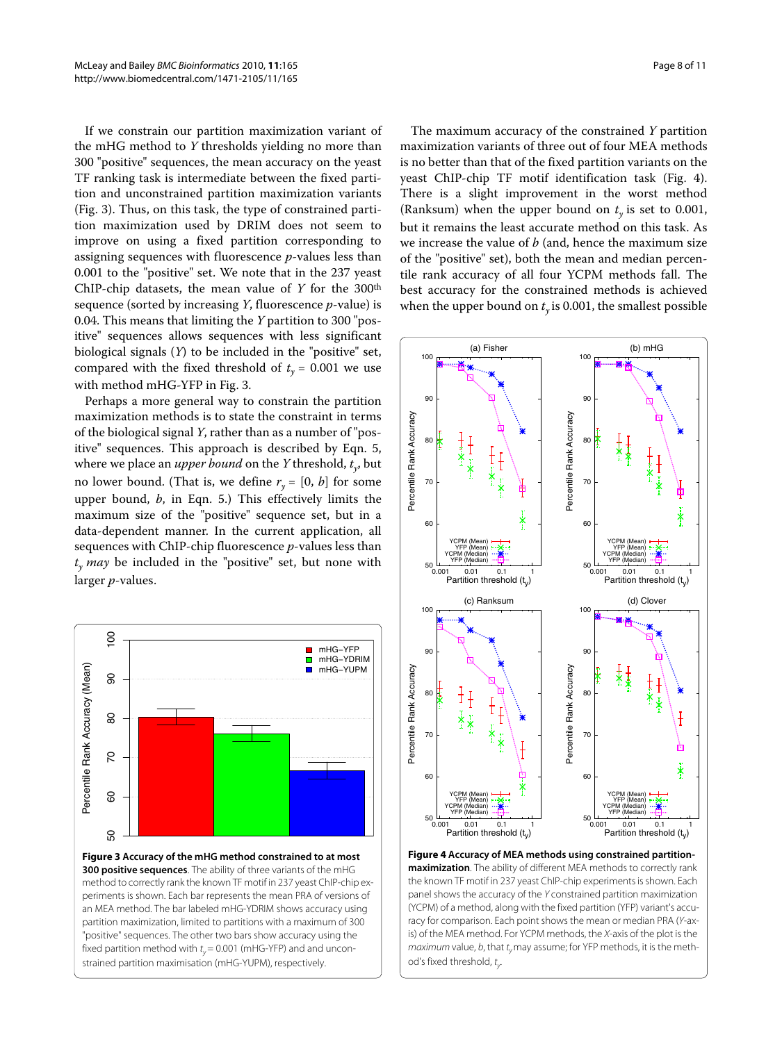If we constrain our partition maximization variant of the mHG method to *Y* thresholds yielding no more than 300 "positive" sequences, the mean accuracy on the yeast TF ranking task is intermediate between the fixed partition and unconstrained partition maximization variants (Fig. [3](#page-7-0)). Thus, on this task, the type of constrained partition maximization used by DRIM does not seem to improve on using a fixed partition corresponding to assigning sequences with fluorescence *p*-values less than 0.001 to the "positive" set. We note that in the 237 yeast ChIP-chip datasets, the mean value of *Y* for the 300th sequence (sorted by increasing *Y*, fluorescence *p*-value) is 0.04. This means that limiting the *Y* partition to 300 "positive" sequences allows sequences with less significant biological signals (*Y*) to be included in the "positive" set, compared with the fixed threshold of  $t_y = 0.001$  we use with method mHG-YFP in Fig. [3](#page-7-0).

Perhaps a more general way to constrain the partition maximization methods is to state the constraint in terms of the biological signal *Y*, rather than as a number of "positive" sequences. This approach is described by Eqn. 5, where we place an *upper bound* on the *Y* threshold, *ty*, but no lower bound. (That is, we define  $r_y = [0, b]$  for some upper bound, *b*, in Eqn. 5.) This effectively limits the maximum size of the "positive" sequence set, but in a data-dependent manner. In the current application, all sequences with ChIP-chip fluorescence *p*-values less than *ty may* be included in the "positive" set, but none with larger *p*-values.

<span id="page-7-0"></span>

"positive" sequences. The other two bars show accuracy using the fixed partition method with  $t_v = 0.001$  (mHG-YFP) and and uncon-

The maximum accuracy of the constrained *Y* partition maximization variants of three out of four MEA methods is no better than that of the fixed partition variants on the yeast ChIP-chip TF motif identification task (Fig. [4](#page-7-1)). There is a slight improvement in the worst method (Ranksum) when the upper bound on  $t<sub>v</sub>$  is set to 0.001, but it remains the least accurate method on this task. As we increase the value of *b* (and, hence the maximum size of the "positive" set), both the mean and median percentile rank accuracy of all four YCPM methods fall. The best accuracy for the constrained methods is achieved when the upper bound on  $t_v$  is 0.001, the smallest possible

<span id="page-7-1"></span>

**Figure 4 Accuracy of MEA methods using constrained partitionmaximization**. The ability of different MEA methods to correctly rank the known TF motif in 237 yeast ChIP-chip experiments is shown. Each panel shows the accuracy of the Y constrained partition maximization (YCPM) of a method, along with the fixed partition (YFP) variant's accuracy for comparison. Each point shows the mean or median PRA (Y-axis) of the MEA method. For YCPM methods, the X-axis of the plot is the maximum value, b, that  $t_v$  may assume; for YFP methods, it is the method's fixed threshold,  $t_v$ .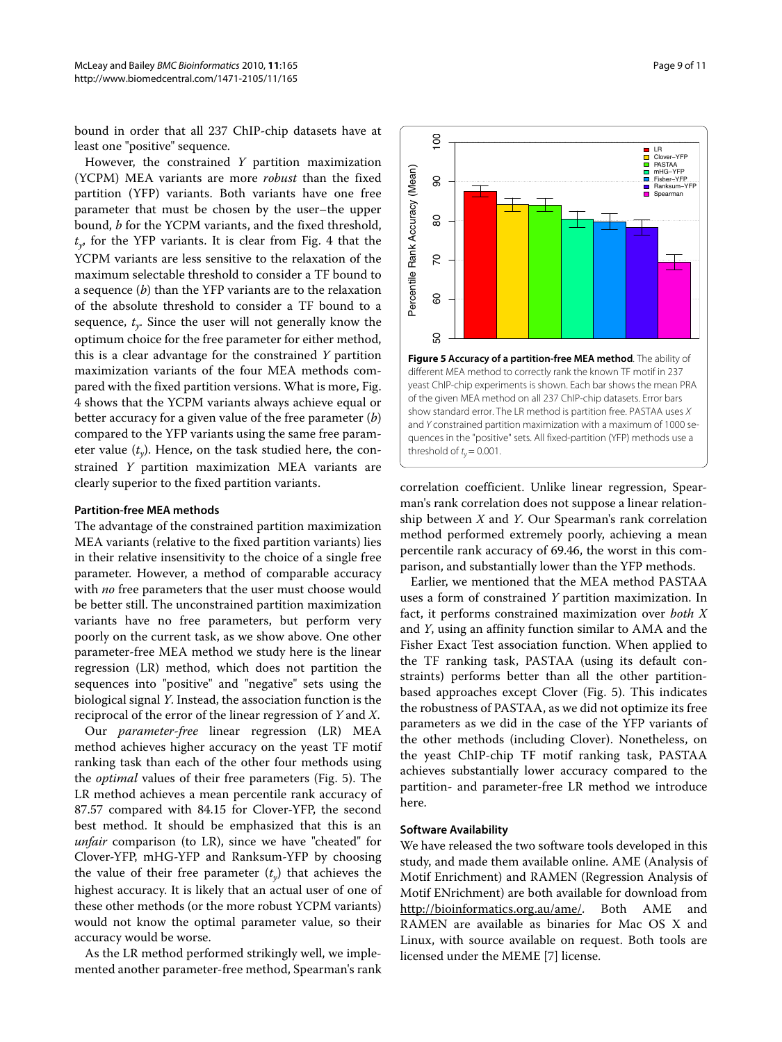bound in order that all 237 ChIP-chip datasets have at least one "positive" sequence.

However, the constrained *Y* partition maximization (YCPM) MEA variants are more *robust* than the fixed partition (YFP) variants. Both variants have one free parameter that must be chosen by the user–the upper bound, *b* for the YCPM variants, and the fixed threshold,  $t_{\nu}$  for the YFP variants. It is clear from Fig. [4](#page-7-1) that the YCPM variants are less sensitive to the relaxation of the maximum selectable threshold to consider a TF bound to a sequence (*b*) than the YFP variants are to the relaxation of the absolute threshold to consider a TF bound to a sequence,  $t_{w}$ . Since the user will not generally know the optimum choice for the free parameter for either method, this is a clear advantage for the constrained *Y* partition maximization variants of the four MEA methods compared with the fixed partition versions. What is more, Fig. [4](#page-7-1) shows that the YCPM variants always achieve equal or better accuracy for a given value of the free parameter (*b*) compared to the YFP variants using the same free parameter value  $(t_v)$ . Hence, on the task studied here, the constrained *Y* partition maximization MEA variants are clearly superior to the fixed partition variants.

# **Partition-free MEA methods**

The advantage of the constrained partition maximization MEA variants (relative to the fixed partition variants) lies in their relative insensitivity to the choice of a single free parameter. However, a method of comparable accuracy with *no* free parameters that the user must choose would be better still. The unconstrained partition maximization variants have no free parameters, but perform very poorly on the current task, as we show above. One other parameter-free MEA method we study here is the linear regression (LR) method, which does not partition the sequences into "positive" and "negative" sets using the biological signal *Y*. Instead, the association function is the reciprocal of the error of the linear regression of *Y* and *X*.

Our *parameter-free* linear regression (LR) MEA method achieves higher accuracy on the yeast TF motif ranking task than each of the other four methods using the *optimal* values of their free parameters (Fig. [5\)](#page-8-0). The LR method achieves a mean percentile rank accuracy of 87.57 compared with 84.15 for Clover-YFP, the second best method. It should be emphasized that this is an *unfair* comparison (to LR), since we have "cheated" for Clover-YFP, mHG-YFP and Ranksum-YFP by choosing the value of their free parameter  $(t<sub>v</sub>)$  that achieves the highest accuracy. It is likely that an actual user of one of these other methods (or the more robust YCPM variants) would not know the optimal parameter value, so their accuracy would be worse.

As the LR method performed strikingly well, we implemented another parameter-free method, Spearman's rank

<span id="page-8-0"></span>

 $\overline{5}$ 

correlation coefficient. Unlike linear regression, Spearman's rank correlation does not suppose a linear relationship between *X* and *Y*. Our Spearman's rank correlation method performed extremely poorly, achieving a mean percentile rank accuracy of 69.46, the worst in this comparison, and substantially lower than the YFP methods.

Earlier, we mentioned that the MEA method PASTAA uses a form of constrained *Y* partition maximization. In fact, it performs constrained maximization over *both X* and *Y*, using an affinity function similar to AMA and the Fisher Exact Test association function. When applied to the TF ranking task, PASTAA (using its default constraints) performs better than all the other partitionbased approaches except Clover (Fig. [5\)](#page-8-0). This indicates the robustness of PASTAA, as we did not optimize its free parameters as we did in the case of the YFP variants of the other methods (including Clover). Nonetheless, on the yeast ChIP-chip TF motif ranking task, PASTAA achieves substantially lower accuracy compared to the partition- and parameter-free LR method we introduce here.

### **Software Availability**

We have released the two software tools developed in this study, and made them available online. AME (Analysis of Motif Enrichment) and RAMEN (Regression Analysis of Motif ENrichment) are both available for download from <http://bioinformatics.org.au/ame/>. Both AME and RAMEN are available as binaries for Mac OS X and Linux, with source available on request. Both tools are licensed under the MEME [\[7](#page-10-6)] license.

LR Clover−YFP PASTAA

 $\overline{\phantom{a}}$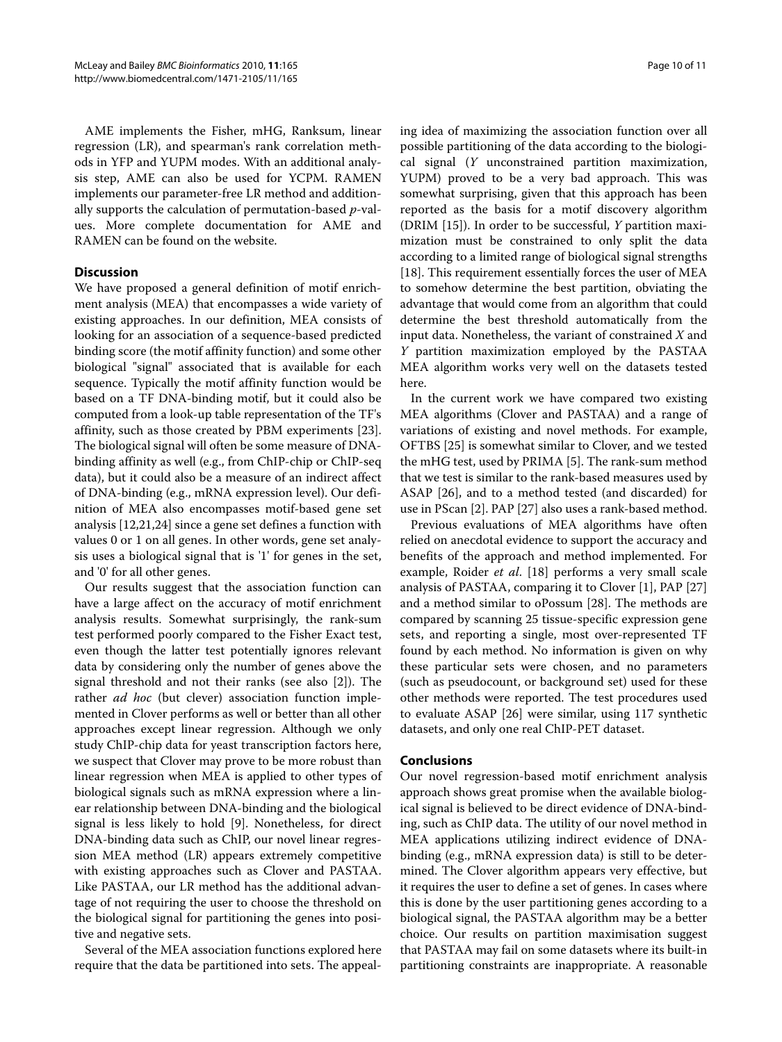AME implements the Fisher, mHG, Ranksum, linear regression (LR), and spearman's rank correlation methods in YFP and YUPM modes. With an additional analysis step, AME can also be used for YCPM. RAMEN implements our parameter-free LR method and additionally supports the calculation of permutation-based *p*-values. More complete documentation for AME and RAMEN can be found on the website.

# **Discussion**

We have proposed a general definition of motif enrichment analysis (MEA) that encompasses a wide variety of existing approaches. In our definition, MEA consists of looking for an association of a sequence-based predicted binding score (the motif affinity function) and some other biological "signal" associated that is available for each sequence. Typically the motif affinity function would be based on a TF DNA-binding motif, but it could also be computed from a look-up table representation of the TF's affinity, such as those created by PBM experiments [\[23](#page-10-22)]. The biological signal will often be some measure of DNAbinding affinity as well (e.g., from ChIP-chip or ChIP-seq data), but it could also be a measure of an indirect affect of DNA-binding (e.g., mRNA expression level). Our definition of MEA also encompasses motif-based gene set analysis [[12,](#page-10-11)[21,](#page-10-20)[24\]](#page-10-23) since a gene set defines a function with values 0 or 1 on all genes. In other words, gene set analysis uses a biological signal that is '1' for genes in the set, and '0' for all other genes.

Our results suggest that the association function can have a large affect on the accuracy of motif enrichment analysis results. Somewhat surprisingly, the rank-sum test performed poorly compared to the Fisher Exact test, even though the latter test potentially ignores relevant data by considering only the number of genes above the signal threshold and not their ranks (see also [[2\]](#page-10-1)). The rather *ad hoc* (but clever) association function implemented in Clover performs as well or better than all other approaches except linear regression. Although we only study ChIP-chip data for yeast transcription factors here, we suspect that Clover may prove to be more robust than linear regression when MEA is applied to other types of biological signals such as mRNA expression where a linear relationship between DNA-binding and the biological signal is less likely to hold [[9\]](#page-10-8). Nonetheless, for direct DNA-binding data such as ChIP, our novel linear regression MEA method (LR) appears extremely competitive with existing approaches such as Clover and PASTAA. Like PASTAA, our LR method has the additional advantage of not requiring the user to choose the threshold on the biological signal for partitioning the genes into positive and negative sets.

Several of the MEA association functions explored here require that the data be partitioned into sets. The appeal-

ing idea of maximizing the association function over all possible partitioning of the data according to the biological signal (*Y* unconstrained partition maximization, YUPM) proved to be a very bad approach. This was somewhat surprising, given that this approach has been reported as the basis for a motif discovery algorithm (DRIM [[15\]](#page-10-14)). In order to be successful, *Y* partition maximization must be constrained to only split the data according to a limited range of biological signal strengths [[18\]](#page-10-17). This requirement essentially forces the user of MEA to somehow determine the best partition, obviating the advantage that would come from an algorithm that could determine the best threshold automatically from the input data. Nonetheless, the variant of constrained *X* and *Y* partition maximization employed by the PASTAA MEA algorithm works very well on the datasets tested here.

In the current work we have compared two existing MEA algorithms (Clover and PASTAA) and a range of variations of existing and novel methods. For example, OFTBS [\[25\]](#page-10-24) is somewhat similar to Clover, and we tested the mHG test, used by PRIMA [\[5](#page-10-4)]. The rank-sum method that we test is similar to the rank-based measures used by ASAP [\[26](#page-10-25)], and to a method tested (and discarded) for use in PScan [[2](#page-10-1)]. PAP [[27\]](#page-10-26) also uses a rank-based method.

Previous evaluations of MEA algorithms have often relied on anecdotal evidence to support the accuracy and benefits of the approach and method implemented. For example, Roider *et al*. [[18\]](#page-10-17) performs a very small scale analysis of PASTAA, comparing it to Clover [[1\]](#page-10-0), PAP [[27](#page-10-26)] and a method similar to oPossum [\[28\]](#page-10-27). The methods are compared by scanning 25 tissue-specific expression gene sets, and reporting a single, most over-represented TF found by each method. No information is given on why these particular sets were chosen, and no parameters (such as pseudocount, or background set) used for these other methods were reported. The test procedures used to evaluate ASAP [\[26\]](#page-10-25) were similar, using 117 synthetic datasets, and only one real ChIP-PET dataset.

# **Conclusions**

Our novel regression-based motif enrichment analysis approach shows great promise when the available biological signal is believed to be direct evidence of DNA-binding, such as ChIP data. The utility of our novel method in MEA applications utilizing indirect evidence of DNAbinding (e.g., mRNA expression data) is still to be determined. The Clover algorithm appears very effective, but it requires the user to define a set of genes. In cases where this is done by the user partitioning genes according to a biological signal, the PASTAA algorithm may be a better choice. Our results on partition maximisation suggest that PASTAA may fail on some datasets where its built-in partitioning constraints are inappropriate. A reasonable